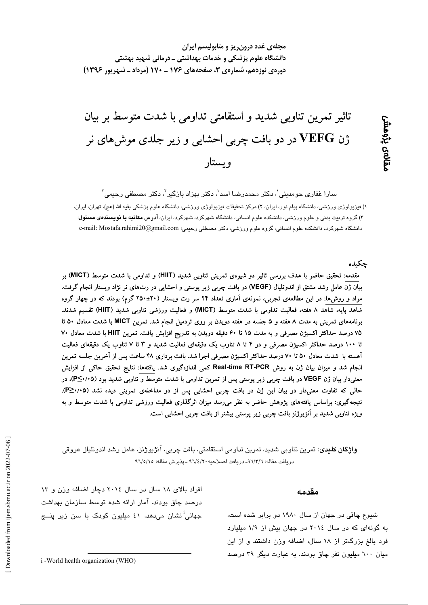# تاثیر تمرین تناوبی شدید و استقامتی تداومی با شدت متوسط بر بیان ژن VEFG در دو بافت چربی احشایی و زیر جلدی موشهای نر ويستار

دانشگاه علوم پزشکی و خدمات بهداشتی ــ درمانی شهید بهشتی

مجلهی غدد درون ریز و متابولیسم ایران

سارا غفاری حومدینی ٰ، دکتر محمدرضا اسد ٰ، دکتر بهزاد بازگیر ٰ، دکتر مصطفی رحیمی ؑ

### چکىدە

مقدمه: تحقیق حاضر با هدف بررسی تاثیر دو شیوهی تمرینی تناوبی شدید (HIIT) و تداومی با شدت متوسط (MICT) بر بیان ژن عامل رشد مشتق از اندوتلیال (VEGF) در بافت چربی زیر پوستی و احشایی در رت0های نر نژاد ویستار انجام گرفت. مواد و روش۵ا: در این مطالعهی تجربی، نمونهی اَماری تعداد ۲۴ سر رت ویستار (۲۰±۲۵۰ گرم) بودند که در چهار گروه شاهد پایه، شاهد ۸ هفته، فعالیت تداومی با شدت متوسط (MICT) و فعالیت ورزشی تناوبی شدید (HIIT) تقسیم شدند. برنامههای تمرینی به مدت ۸ هفته و ۵ جلسه در هفته دویدن بر روی تردمیل انجام شد. تمرین MICT با شدت معادل ۵۰ تا ۷۵ درصد حداکثر اکسیژن مصرفی و به مدت ۱۵ تا ۶۰ دقیقه دویدن به تدریج افزایش یافت. تمرین HIIT با شدت معادل ۷۰ تا ۱۰۰ درصد حداکثر اکسیژن مصرفی و در ۴ تا ۸ تناوب یک دقیقهای فعالیت شدید و ۳ تا ۷ تناوب یک دقیقهای فعالیت آهسته با شدت معادل ۵۰ تا ۷۰ درصد حداکثر اکسیژن مصرفی اجرا شد. بافت برداری ۴۸ ساعت پس از آخرین جلسه تمرین انجام شد و میزان بیان ژن به روش Real-time RT-PCR کمی اندازهگیری شد. یافتهها: نتایج تحقیق حاکی از افزایش معنیدار بیان ژن VEGF در بافت چربی زیر پوستی پس از تمرین تداومی با شدت متوسط و تناوبی شدید بود (P≤۰/۰۵)، در حالی که تفاوت معنیدار در بیان این ژن در بافت چربی احشایی پس از دو مداخلهی تمرینی دیده نشد (P≥٠/٠۵). نتیجهگیری: براساس یافتههای پژوهش حاضر به نظر میرسد میزان اثرگذاری فعالیت ورزشی تداومی با شدت متوسط و به ویژه تناوبی شدید بر آنژیوژنز بافت چربی زیر پوستی بیشتر از بافت چربی احشایی است.

**واژگان کلیدی**: تمرین تناوبی شدید، تمرین تداومی استقامتی، بافت چربی، آنژیوژنز، عامل رشد اندوتلیال عروقی دريافت مقاله: ٩٦/٣/٦ـ دريافت اصلاحيه ٩٦/٤/٢٠ ـ يذيرش مقاله: ٩٦/٥/١٥

شیوع چاقی در جهان از سال ۱۹۸۰ دو برابر شده است، به گونهای که در سال ٢٠١٤ در جهان بیش از ١/٩ میلیارد فرد بالغ بزرگتر از ١٨ سال، اضافه وزن داشتند و از اين میان ٦٠٠ میلیون نفر چاق بودند. به عبارت دیگر ۳۹ درصد

مقدمه

افراد بالای ١٨ سال در سال ٢٠١٤ دچار اضافه وزن و ١٣ درصد چاق بودند. آمار ارائه شده توسط سازمان بهداشت جهانی<sup>!</sup> نشان می،دهد، ٤١ میلیون کودک با سن زیر پنــ*ج* 

١) فيزيولوژي ورزشي، دانشگاه پيام نور، ايران، ٢) مركز تحقيقات فيزيولوژي ورزشي، دانشگاه علوم پزشكي بقيه الله (عج)، تهران، ايران، ۳) گروه تربیت بدنی و علوم ورزشی، دانشکده علوم انسانی، دانشگاه شهرکرد، شهرکرد، ایران، آدرس م**کاتبه یا نویسند***هی* **مسئول**: دانشگاه شهرکرد، دانشکده علوم انسانی، گروه علوم ورزشی، دکتر مصطفی رحیمی؛ e-mail: Mostafa.rahimi20@gmail.com و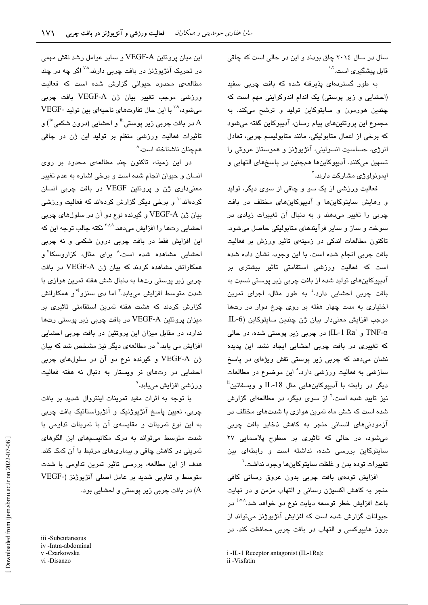سال در سال ۲۰۱٤ چاق بودند و این در حالی است که چاقی قابل پیشگیر *ی* است.<sup>۱۰۲</sup>

به طور گستردهای پذیرفته شده که بافت چربی سفید (احشایی و زیر پوستی) یک اندام اندوکراینی مهم است که چندین هورمون و سایتوکاین تولید و ترشح میکند. به مجموع این پروتئینهای پیام رسان، آدییوکاین گفته می شود که برخی از اعمال متابولیکی، مانند متابولیسم چربی، تعادل انرژی، حساسیت انسولینی، آنژیوژنز و هموستاز عروقی را تسهيل ميكنند. آديپوكاينها همچنين در پاسخهاى التهابي و ايمونولوژ*ی* مشارکت دارند.<sup>۳</sup>

فعالیت ورزشی از یک سو و چاقی از سوی دیگر، تولید و رهایش سایتوکاینها و آدیپوکاینهای مختلف در یافت چربی را تغییر میدهند و به دنبال آن تغییرات زیادی در سوخت و ساز و سایر فرآیندهای متابولیکی حاصل میشود. تاکنون مطالعات اندکی در زمینهی تاثیر ورزش بر فعالیت بافت چربی انجام شده است. با این وجود، نشان داده شده است که فعالیت ورزشی استقامتی تاثیر بیشتری بر آدیپوکاینهای تولید شده از بافت چربی زیر پوستی نسبت به بافت چربی احشایی دارد.<sup>؛</sup> به طور مثال، اجرای تمرین اختیاری به مدت چهار هفته بر روی چرخ دوار در رتها موجب افزايش معنىدار بيان ژن چندين سايتوكاين (L-6، و IL-1 Ra $^{\rm i}$ ر (IL-1 Ra $^{\rm i}$ ) در چربی زیر پوستی شده، در حالی که تغییر*ی د*ر بافت چربی احشایی ایجاد نشد. این پدیده نشان میدهد که چربی زیر پوستی نقش ویژهای در پاسخ سازشی به فعالیت ورزشی دارد.° این موضوع در مطالعات دیگر در رابطه با آدیپوکاینهایی مثل IL-18 و ویسفاتین<sup>ا</sup>ً نیز تایید شده است.<sup>۳</sup> از سوی دیگر، در مطالعهای گزارش شده است که شش ماه تمرین هوازی با شدتهای مختلف در آزمودنی های انسانی منجر به کاهش ذخایر بافت چربی میشود، در حالی که تاثیری بر سطوح پلاسمایی ۲۷ سایتوکاین بررسی شده، نداشته است و رابطهای بین تغییرات توده بدن و غلظت سایتوکاینها وجود نداشت.<sup>٦</sup>

افزایش تودهی بافت چربی بدون عروق رسانی کافی منجر به كاهش اكسيژن رسانى و التهاب مزمن و در نهايت باعث افزایش خطر توسعه دیابت نوع دو خواهد شد.<sup>۵٬۷۸</sup> در حیوانات گزارش شده است که افزایش آنژیوژنز میتواند از بروز هایپوکسی و التهاب در بافت چربی محافظت کند. در

i -IL-1 Receptor antagonist (IL-1Ra):

این میان پروتئین VEGF-A و سایر عوامل رشد نقش مهمی در تحریک آنژیوژنز در بافت چرب*ی* دارند.<sup>۷۰۸</sup> اگر چه در چند مطالعهی محدود حیوانی گزارش شده است که فعالیت ورزشی موجب تغییر بیان ژن VEGF-A بافت چربی مي شود، <sup>۲۸</sup> با اين حال تفاوتهاي ناحيهاي بين توليد -VEGF در بافت چربی زیر پوستی''' و احشایی (درون شکمی''<sup>)</sup> و  $\rm A$ تاثیرات فعالیت ورزشی منظم بر تولید این ژن در چاقی همچنان ناشناخته است.^

در این زمینه، تاکنون چند مطالعهی محدود بر روی انسان و حیوان انجام شده است و برخی اشاره به عدم تغییر معنیداری ژن و پروتئین VEGF در بافت چربی انسان کردهاند<sup>۱۰</sup> و پرخی دیگر گزارش کردهاند که فعالیت ورزشی بيان ژن VEGF-A و گيرنده نوع دو آن در سلولهاي چربي احشایی رتها را افزایش میدهد.<sup>۲٬۸۰</sup>۹ نکته جالب توجه این که این افزایش فقط در بافت چربی درون شکمی و نه چربی احشایی مشاهده شده است.<sup>۸</sup> برای مثال، کزاروسکا<sup>۷</sup>و همکارانش مشاهده کردند که بیان ژن VEGF-A در بافت چربی زیر پوستی رتها به دنبال شش هفته تمرین هوازی با شدت متوسط افزایش مییابد.<sup>۳</sup> اما دی سنزو<sup>۷۱</sup> و همکارانش گزارش کردند که هشت هفته تمرین استقامتی تاثیری بر میزان پروتئین VEGF-A در بافت چربی زیر پوستی رتها ندارد، در مقابل میزان این پروتئین در بافت چربی احشایی افزایش می یابد.<sup>^</sup> در مطالعهی دیگر نیز مشخص شد که بیان ژن VEGF-A و گیرنده نوع دو آن در سلولهای چربی احشایی در رتهای نر ویستار به دنبال نه هفته فعالیت ورزشی افزایش مییابد.<sup>۹</sup>

با توجه به اثرات مفید تمرینات اینتروال شدید بر بافت چربی، تعیین پاسخ آنژیوژنیک و آنژیواستاتیک بافت چربی به این نوع تمرینات و مقایسهی آن با تمرینات تداومی با شدت متوسط میتواند به درک مکانیسمهای این الگوهای تمرینی در کاهش چاقی و بیماریهای مرتبط با آن کمک کند. هدف از این مطالعه، بررسی تاثیر تمرین تداومی با شدت متوسط و تناوبی شدید بر عامل اصلی آنژیوژنز (-VEGF .<br>(A) در بافت چربی زیر پوستی و احشایی بود.

iii -Subcutaneous

iv-Intra-abdominal v-Czarkowska

vi-Disanzo

ii -Visfatin

Downloaded from ijem.sbmu.ac.ir on 2022-07-06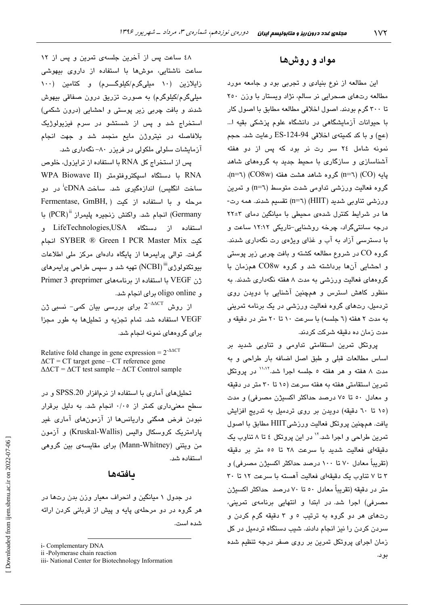#### مواد و روشها

این مطالعه از نوع بنیادی و تجربی بود و جامعه مورد مطالعه رتهای صحرایی نر سالم، نژاد ویستار با وزن ٢٥٠ تا ٣٠٠ گرم بودند. اصول اخلاقی مطالعه مطابق با اصول کار با حیوانات آزمایشگاهی در دانشگاه علوم پزشکی بقیه ا… (عج) و با کد کمیتهی اخلاقی ES-124-94 رعایت شد. حجم نمونه شامل ٢٤ سر رت نر بود كه پس از دو هفته آشناسازی و سازگاری با محیط جدید به گروههای شاهد پایه (CO) (CO8w) گروه شاهد هشت هفته (CO8w) (n=٦). گروه فعالیت ورزشی تداومی شدت متوسط (n=٦) و تمرین ورزشی تناوبی شدید (HIIT) (n=٦) تقسیم شدند. همه رت-ها در شرایط کنترل شدهی محیطی با میانگین دمای ۲+۲۲ درجه سانتیگراد، چرخه روشنایی-تاریکی ۱۲:۱۲ ساعت و با دسترسمی آزاد به آب و غذای ویژهی رت نگهداری شدند. گروه CO در شروع مطالعه کشته و بافت چربی زیر پوستی و احشایی آنها برداشته شد و گروه CO8w همزمان با گروههای فعالیت ورزشی به مدت ۸ هفته نگهداری شدند. به منظور کاهش استرس و همچنین آشنایی با دویدن روی تردمیل، رتهای گروه فعالیت ورزشی در یک برنامه تمرینی به مدت ۲ هفته (٦ جلسه) با سرعت ۱۰ تا ۲۰ متر در دقیقه و مدت زمان ده دقیقه شرکت کردند.

پروتکل تمرین استقامتی تداومی و تناوبی شدید بر اساس مطالعات قبلی و طبق اصل اضافه بار طراحی و به مدت ۸ هفته و هر هفته ٥ جلسه اجرا شد.<sup>۱٬۱٬۲</sup> در پروتکل تمرین استقامتی هفته به هفته سرعت (۱۵ تا ۳۰ متر در دقیقه و معادل ٥٠ تا ٧٥ درصد حداكثر اكسيژن مصرفي) و مدت (١٥ تا ٦٠ دقيقه) دويدن بر روى تردميل به تدريج افزايش يافت. همچنين پروتكل فعاليت ورزشي HIIT مطابق با اصول تمرین طراحی و اجرا شد.'' در این پروتکل ٤ تا ٨ تناوب یک دقيقهاى فعاليت شديد با سرعت ٢٨ تا ٥٥ متر بر دقيقه (تقریباً معادل ۷۰ تا ۱۰۰ درصد حداکثر اکسیژن مصرفی) و ۳ تا ۷ تناوب یک دقیقهای فعالیت آهسته با سرعت ۱۲ تا ۳۰ متر در دقیقه (تقریباً معادل ٥٠ تا ٧٠ درصد حداکثر اکسیژن مصرفی) اجرا شد. در ابتدا و انتهایی برنامهی تمرینی، رتهای هر دو گروه به ترتیب ٥ و ٣ دقیقه گرم کردن و سردن کردن را نیز انجام دادند. شیب دستگاه تردمیل در کل زمان اجرای پروتکل تمرین بر روی صفر درجه تنظیم شده

بو د.

٤٨ ساعت پس از آخرين جلسهى تمرين و پس از ١٢ ساعت ناشتایی، موشها با استفاده از داروی بیهوشی زایلازین (۱۰ میلیگرم/کیلوگـــرم) و کتامین (۱۰۰ میلیگرم/کیلوگرم) به صورت تزریق درون صفاقی بیهوش شدند و بافت چربی زیر پوستی و احشایی (درون شکمی) استخراج شد و پس از شستشو در سرم فیزیولوژیک بلافاصله در نیتروژن مایع منجمد شد و جهت انجام آزمایشات سلولی ملکولی در فریزر ۸۰– نگهداری شد.

پس از استخراج کل RNA با استفاده از ترایزول، خلوص RNA با دستگاه اسپکتروفتومتر (WPA Biowave II ساخت انگلیس) اندازهگیری شد. ساخت cDNAٔ در دو Fermentase, GmBH, ) مرحله و ما استفاده از کنت Germany) انجام شد. واكنش زنجيره يليمراز "PCR) با استفاده از دستگاه LifeTechnologies,USA و كت SYBER ® Green I PCR Master Mix انجام گرفت. توالی پرایمرها از پایگاه دادهای مرکز ملی اطلاعات بیوتکنولوژی<sup>iii</sup> (NCBI) تهیه شد و سپس طراحی پرایمرها*ی* زن VEGF با استفاده از برنامههای Primer 3 .preprimer و oligo online برای انجام شد.

از روش  $2^{-\Delta\Delta C T}$  برای بررسی بیان کمی– نسبی ژن VEGF استفاده شد. تمام تجزيه و تحليلها به طور مجزا برای گروههای نمونه انجام شد.

Relative fold change in gene expression =  $2^{\triangle \triangle C}$  $\Delta CT$  = CT target gene – CT reference gene  $\Delta \Delta CT = \Delta CT$  test sample –  $\Delta CT$  Control sample

تحلیلهای آماری با استفاده از نرمافزار SPSS.20 و در سطح معنیداری کمتر از ۰/۰٥ انجام شد. به دلیل برقرار نبودن فرض همگنی واریانسها از آزمونهای آماری غیر پارامتریک کروسکال والیس (Kruskal-Wallis) و آزمون من ویتنی (Mann-Whitney) برای مقایسهی بین گروهی استفاده شد.

#### ىافتەھا

در جدول ۱ میانگین و انحراف معیار وزن بدن رتها در هر گروه در دو مرحلهی پایه و پیش از قربانی کردن ارائه شده است.

Downloaded from ijem.sbmu.ac.ir on 2022-07-06

i- Complementary DNA

ii -Polymerase chain reaction

iii- National Center for Biotechnology Information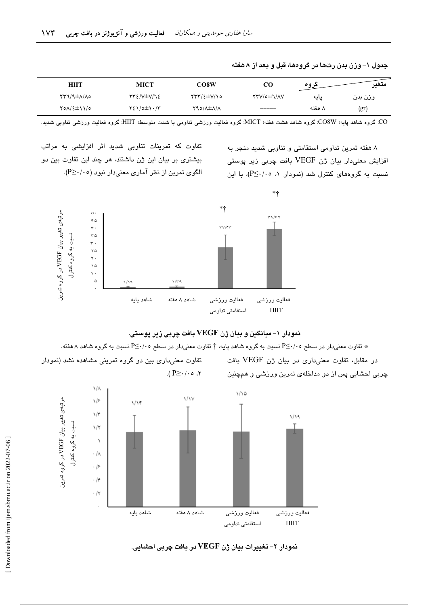| HIIT             | MICT                 | CO8W                                             | CO                | عروه   | متغد<br>◡… |
|------------------|----------------------|--------------------------------------------------|-------------------|--------|------------|
| <b>CAIA±A/TY</b> | <b>TTE/V±V/72</b>    | $\Upsilon\Upsilon\Upsilon/2\pm\Upsilon/\Upsilon$ | <b>YTV/o±J/AV</b> | پایه   | وزن بدن    |
| 701/2±11/0       | $Y\S1/\circ \pm 1.7$ | Y90/A±A/A                                        | _____             | ۸ هفته | (gr        |

جدول ۱– وزن بدن رتها در گروهها، قبل و بعد از ۸هفته

.<br>CO: گروه شاهد پایه؛ CO8W: گروه شاهد هشت هفته؛ MICT: گروه فعالیت ورزشی تداومی با شدت متوسط؛ HIIT: گروه فعالیت ورزشی تناوبی شدید.

۸ هفته تمرین تداومی استقامتی و تناوبی شدید منجر به افزایش معنی،دار بیان ژن VEGF بافت چربی زیر پوستی نسبت به گروههای کنترل شد (نمودار ۱، ۰۵-<P)، با این

تفاوت که تمرینات تناوبی شدید اثر افزایشی به مراتب بیشتری بر بیان این ژن داشتند، هر چند این تفاوت بین دو الگوی تمرین از نظر آماری معنیدار نبود (P≥·/۰٥).



نمودار ۱- میانگین و بیان ژن VEGF بافت چربی زیر پوستی.

شقاوت معنیدار در سطح ۲/۰۰-P≦ نسبت به گروه شاهد پایه، † تفاوت معنیدار در سطح ۲/۰۰-P≦ نسبت به گروه شاهد ۸ هفته.

در مقابل، تفاوت معنى دارى در بيان ژن VEGF بافت چربی احشایی پس از دو مداخلهی تمرین ورزشی و همچنین

تفاوت معنیداری بین دو گروه تمرینی مشاهده نشد (نمودار  $\cdot$  ۲، ه $\cdot$ /۰ $\leq$  ۹).



نمودار ۲- تغییرات بیان ژن VEGF در بافت چربی احشانی.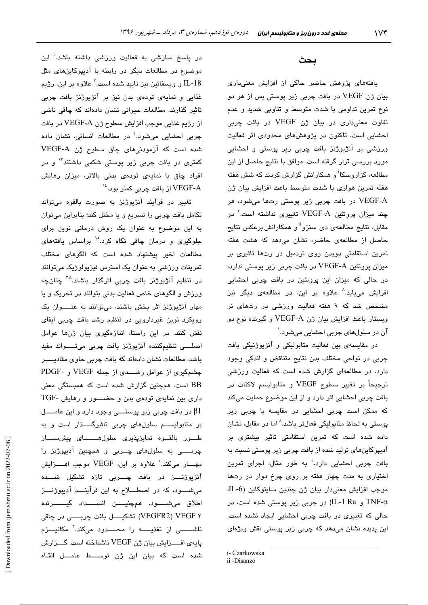#### بحث

یافتههای پژوهش حاضر حاکی از افزایش معنیداری بیان ژن VEGF در بافت چربی زیر پوستی پس از هر دو نوع تمرین تداومی با شدت متوسط و تناوبی شدید و عدم تفاوت معنیداری در بیان ژن VEGF در بافت چربی احشایی است. تاکنون در پژوهشهای محدودی اثر فعالیت ورزشی بر آنژیوژنز بافت چربی زیر پوستی و احشایی مورد بررسی قرار گرفته است. موافق با نتایج حاصل از این مطالعه، کزاروسکا<sup>۱</sup> و همکارانش گزارش کردند که شش هفته هفته تمرین هوازی با شدت متوسط باعث افزایش بیان ژن .<br>VEGF-A در بافت چربی زیر پوستی رتها میشود، هر چند میزان پروتئین VEGF-A تغییری نداشته است.<sup>۲</sup> در مقابل، نتایج مطالعهی دی سنزو<sup>ii</sup> و همکارانش برعکس نتایج حاصل از مطالعهی حاضر، نشان میدهد که هشت هفته تمرین استقامتی دویدن روی تردمیل در رتها تاثیری بر میزان پروتئین VEGF-A در بافت چربی زیر پوستی ندارد، در حالی که میزان این پروتئین در بافت چربی احشایی افزایش می<sub>ع</sub>ابد.<sup>۸</sup> علاوه بر این، در مطالعهی دیگر نیز مشخص شد که ۹ هفته فعالیت ورزشی در رتهای نر ويستار باعث افزايش بيان ژن VEGF-A و گيرنده نوع دو آن در سلولهای چربی احشایی میشود.<sup>۹</sup>

در مقایسهی بین فعالیت متابولیکی و آنژیوژنیکی بافت چربی در نواحی مختلف بدن نتایج متناقض و اندکی وجود دارد. در مطالعهای گزارش شده است که فعالیت ورزشی ترجيحاً بر تغيير سطوح VEGF و متابوليسم لاكتات در بافت چربی احشایی اثر دارد و از این موضوع حمایت میکند که ممکن است چربی احشایی در مقایسه با چربی زیر پوستی به لحاظ متابولیکی فعالتر باشد.^ اما در مقابل، نشان داده شده است که تمرین استقامتی تاثیر بیشتری بر آدیپوکاینهای تولید شده از بافت چربی زیر پوستی نسبت به بافت چربی احشایی دارد.<sup>؛</sup> به طور مثال، اجرای تمرین اختیاری به مدت چهار هفته بر روی چرخ دوار در رتها موجب افزایش معنیدار بیان ژن چندین سایتوکاین (L-6 TNF-α و IL-1 Ra) در چربی زیر پوستی شده است، در حالی که تغییری در بافت چربی احشایی ایجاد نشده است. این پدیده نشان میدهد که چربی زیر پوستی نقش ویژهای

در پاسخ سازشی به فعالیت ورزشی داشته باشد. ْاین موضوع در مطالعات دیگر در رابطه با آدیپوکاین های مثل IL-18 و ويسفاتين نيز تاييد شده است.<sup>۲</sup> علاوه بر اين، رژيم غذایی و نمایهی تودهی بدن نیز بر آنژیوژنز بافت چربی تاثیر گذارند. مطالعات حیوانی نشان دادهاند که چاقی ناشی از رژيم غذايي موجب افزايش سطوح ژن VEGF-A در بافت چربی احشایی میشود.<sup>؛</sup> در مطالعات انسانی، نشان داده شده است که آزمودنی های چاق سطوح ژن VEGF-A کمتر*ی* در بافت چربی زیر پوستی شکمی داشتند<sup>۱۲</sup> و در افراد چاق با نمایهی تودهی بدنی بالاتر، میزان رهایش از بافت چربی کمتر بود. $^{16}$  VEGF-A

تغییر در فرآیند آنژیوژنز به صورت بالقوه میتواند تکامل بافت چربی را تسریع و یا مختل کند؛ بنابراین میتوان به این موضوع به عنوان یک روش درمانی نوین برای جلوگیری و درمان چاقی نگاه کرد.<sup>۱</sup>° براساس یافتههای مطالعات اخیر پیشنهاد شده است که الگوهای مختلف تمرینات ورزشی به عنوان یک استرس فیزیولوژیک میتوانند در تنظیم آنژیوژنز بافت چربی اثرگذار باشند.<sup>^</sup>″ چنانچه ورزش و الگوهای خاص فعالیت بدنی بتوانند در تحریک و یا مهار آنژیوژنز اثر بخش باشند، میتوانند به عنــــوان یک رویکرد نوین غیردارویی در تنظیم رشد بافت چربی ایفای نقش کنند. در این راستا، اندازهگیری بیان ژنها عوامل اصلــــی تنظیمکننده آنژیوژنز بافت چربی میتـــــواند مفید باشد. مطالعات نشان دادهاند که بافت چربی حاوی مقادیسو چشمگیری از عوامل رشــــدی از جمله VEGF و -PDGF BB است. همچنین گزارش شده است که همبستگی معنی داری بین نمایهی تودهی بدن و حضــور و رهایش -TGF در بافت چربی زیر پوستـــی وجود دارد و این عامـــــل  $\beta1$ بر متابولیســـم سلولهای چربی تاثیرگـــــذار است و به طور بالقوه تمايزپذيرى سلول هـــــاى پيش ســاز چربــــی به سلولهای چــربی و همچنین آدیپوژنز را مهــــار مىكند.<sup>۳</sup> علاوه بر اين، VEGF موجب افـــــزايش آنژیوژنــــز در بافت چـــــربی تازه تشکیل شـــــده می شعود، که در اصطلاح به این فرآیند آدیپوژنتز اطلاق مىشىسود. ھمچنيىن انسىسداد گيىسىرندە ۷ VEGFR2) VEGF) تشكيـــــل بافت چربـــــــي در چاقي ناشــــــــی از تغذیـــــــه را محــــــدود میکند.<sup>۲</sup> مکانیــــزم پایهی افــزایش بیان ژن VEGF ناشناخته است. گــزارش شده است كه بيان اين ژن توســـط عامـــل القـاء

i- Czarkowska

ii -Disanzo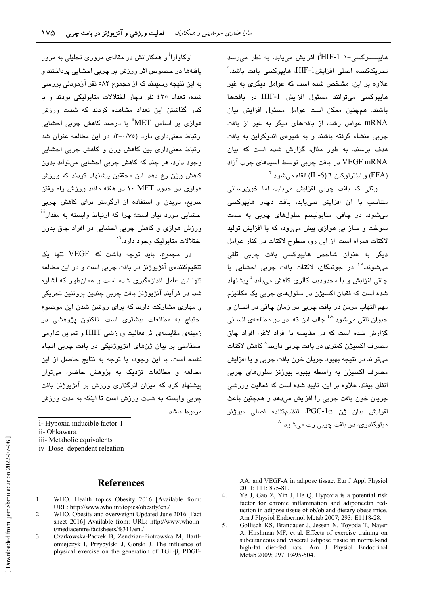هاییــــوکسی-۱ HIF-1') افزایش میبابد. به نظر می رسد تحریککننده اصلی افزایشIHF-1، هایپوکسی بافت باشد.<sup>۳</sup> علاوه بر این، مشخص شده است که عوامل دیگری به غیر هاییوکسی میتوانند مسئول افزایش HIF-1 در بافتها باشند. همچنین ممکن است عوامل مسئول افزایش بیان mRNA عوامل رشد، از بافتهای دیگر به غیر از بافت چربی منشاء گرفته باشند و به شیوهی اندوکراین به بافت هدف برسند. به طور مثال، گزارش شده است که بیان VEGF mRNA در يافت چربي توسط استدهاي چرب آزاد  $^7$ و اینترلوکین ٦ (IL-6) القاء می شود.

وقتی که بافت چربی افزایش مییابد، اما خون رسانی متناسب یا آن افزایش نمی،باید، یافت دچار هایپوکسی میشود. در چاقی، متابولیسم سلولهای چربی به سمت سوخت و ساز بی هوازی پیش میرود، که با افزایش تولید لاكتات همراه است. از این رق سطوح لاكتات در كنار عوامل دیگر به عنوان شاخص هایپوکسی بافت چربی تلقی می،شوند.<sup>^ۀ</sup> در جوندگان، لاکتات بافت چربی احشایی با ڇاقي افزايش و يا محدوديت کالر*ي* کاهش مي،پايد.<sup>٤</sup> پيشنهاد شده است که فقدان اکسیژن در سلولهای چربی یک مکانیزم مهم التهاب مزمن در بافت چربی در زمان چاقی در انسان و حيوان تلقي مي شود.<sup>^^</sup> جالب اين كه، در دو مطالعهي انساني گزارش شده است که در مقایسه با افراد لاغر، افراد چاق مصرف اکسیژن کمتری در بافت چربی دارند.^ کاهش لاکتات میتواند در نتیجه بهبود جریان خون بافت چربی و یا افزایش مصرف اکسیژن به واسطه بهبود بیوژنز سلولهای چربی اتفاق بیفتد. علاوه بر این، تایید شده است که فعالیت ورزشی جريان خون بافت چربي را افزايش مي دهد و همچنين باعث افزايش بيان ژن PGC-1α تنظيمكننده اصلى بيوژنز مبتوکندری، در بافت چربی رت میشود. <sup>^</sup>

اوکاوارا<sup>ا</sup> و همکارانش در مقالهی مروری تحلیلی به مرور یافتهها در خصوص اثر ورزش بر چربی احشایی پرداختند و به این نتیجه رسیدند که از مجموع ۵۸۲ نفر آزمودنی بررسی شده، تعداد ٤٢٥ نفر دچار اختلالات متابوليكي بودند و با کنار گذاشتن این تعداد مشاهده کردند که شدت ورزش هوازی پر اساس MET" یا درصد کاهش چربی احشابی ارتباط معنی داری دارد (r=۰/۷٥). در این مطالعه عنوان شد ارتباط معنیداری بین کاهش وزن و کاهش چربی احشایی وجود دارد، هر چند که کاهش چربی احشابی میتواند بدون کاهش وزن رخ دهد. این محققین پیشنهاد کردند که ورزش هوازی در حدود ۱۰ MET اور هفته مانند ورزش راه رفتن سریع، دوبدن و استفاده از ارگومتر برای کاهش چربی احشایی مورد نیاز است؛ چرا که ارتباط وابسته به مقدار<sup>iii</sup> ورزش هوازی و کاهش چربی احشایی در افراد چاق بدون اختلالات متابولیک وجود دارد. ``

در مجموع، باید توجه داشت که VEGF تنها یک تنظیمکنندهی آنژیوژنز در بافت چربی است و در این مطالعه تنها این عامل اندازهگیری شده است و همان طور که اشاره شد، در فرآیند آنژیوژنز بافت چربی چندین پروتئین تحریکی و مهاری مشارکت دارند که برای روشن شدن این موضوع احتیاج به مطالعات بیشتری است. تاکنون پژوهشی در زمینهی مقایسهی اثر فعالیت ورزشی HIIT و تمرین تداومی استقامتی بر بیان ژنهای آنژیوژنیکی در بافت چربی انجام نشده است. با این وجود، با توجه به نتایج حاصل از این مطالعه و مطالعات نزدیک به پژوهش حاضر، می توان پیشنهاد کرد که میزان اثرگذاری ورزش بر آنژیوژنز بافت چربی وابسته به شدت ورزش است تا اینکه به مدت ورزش مربوط باشد.

iv-Dose-dependent releation

#### **References**

- WHO. Health topics Obesity 2016 [Available from: 1. URL: http://www.who.int/topics/obesity/en./
- 2. WHO. Obesity and overweight Updated June 2016 [Fact sheet 2016] Available from: URL: http://www.who.int/mediacentre/factsheets/fs311/en./
- $3.$ Czarkowska-Paczek B, Zendzian-Piotrowska M, Bartlomiejczyk I, Przybylski J, Gorski J. The influence of physical exercise on the generation of TGF-B, PDGF-

AA, and VEGF-A in adipose tissue. Eur J Appl Physiol 2011; 111: 875-81.

- $4.$ Ye J, Gao Z, Yin J, He Q. Hypoxia is a potential risk factor for chronic inflammation and adiponectin reduction in adipose tissue of ob/ob and dietary obese mice. Am J Physiol Endocrinol Metab 2007; 293: E1118-28.
- $5<sub>1</sub>$ Gollisch KS, Brandauer J, Jessen N, Toyoda T, Nayer A, Hirshman MF, et al. Effects of exercise training on subcutaneous and visceral adipose tissue in normal-and high-fat diet-fed rats. Am J Physiol Endocrinol Metab 2009; 297: E495-504.

i-Hypoxia inducible factor-1

ii- Ohkawara

iii- Metabolic equivalents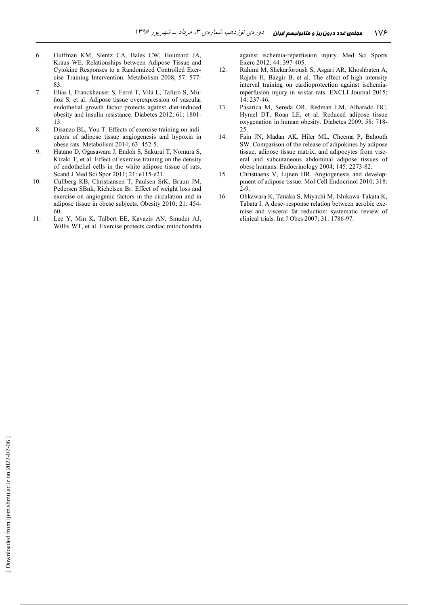- 6. Huffman KM, Slentz CA, Bales CW, Houmard JA, Kraus WE. Relationships between Adipose Tissue and Cytokine Responses to a Randomized Controlled Exercise Training Intervention. Metabolism 2008; 57: 577- 83.
- 7. Elias I, Franckhauser S, Ferré T, Vilà L, Tafuro S, Muñoz S, et al. Adipose tissue overexpression of vascular endothelial growth factor protects against diet-induced obesity and insulin resistance. Diabetes 2012; 61: 1801- 13.
- 8. Disanzo BL, You T. Effects of exercise training on indicators of adipose tissue angiogenesis and hypoxia in obese rats. Metabolism 2014; 63: 452-5.
- 9. Hatano D, Ogasawara J, Endoh S, Sakurai T, Nomura S, Kizaki T, et al. Effect of exercise training on the density of endothelial cells in the white adipose tissue of rats. Scand J Med Sci Spor 2011; 21: e115-e21.
- 10. Cullberg KB, Christiansen T, Paulsen SrK, Bruun JM, Pedersen SBnk, Richelsen Br. Effect of weight loss and exercise on angiogenic factors in the circulation and in adipose tissue in obese subjects. Obesity 2010; 21: 454- 60.
- 11. Lee Y, Min K, Talbert EE, Kavazis AN, Smuder AJ, Willis WT, et al. Exercise protects cardiac mitochondria

against ischemia-reperfusion injury. Med Sci Sports Exerc 2012; 44: 397-405.

- 12. Rahimi M, Shekarforoush S, Asgari AR, Khoshbaten A, Rajabi H, Bazgir B, et al. The effect of high intensity interval training on cardioprotection against ischemiareperfusion injury in wistar rats. EXCLI Journal 2015; 14: 237-46.
- 13. Pasarica M, Sereda OR, Redman LM, Albarado DC, Hymel DT, Roan LE, et al. Reduced adipose tissue oxygenation in human obesity. Diabetes 2009; 58: 718- 25.
- 14. Fain JN, Madan AK, Hiler ML, Cheema P, Bahouth SW. Comparison of the release of adipokines by adipose tissue, adipose tissue matrix, and adipocytes from visceral and subcutaneous abdominal adipose tissues of obese humans. Endocrinology 2004; 145: 2273-82.
- 15. Christiaens V, Lijnen HR. Angiogenesis and developpment of adipose tissue. Mol Cell Endocrinol 2010; 318:  $2 - 9$
- 16. Ohkawara K, Tanaka S, Miyachi M, Ishikawa-Takata K, Tabata I. A dose–response relation between aerobic exercise and visceral fat reduction: systematic review of clinical trials. Int J Obes 2007; 31: 1786-97.